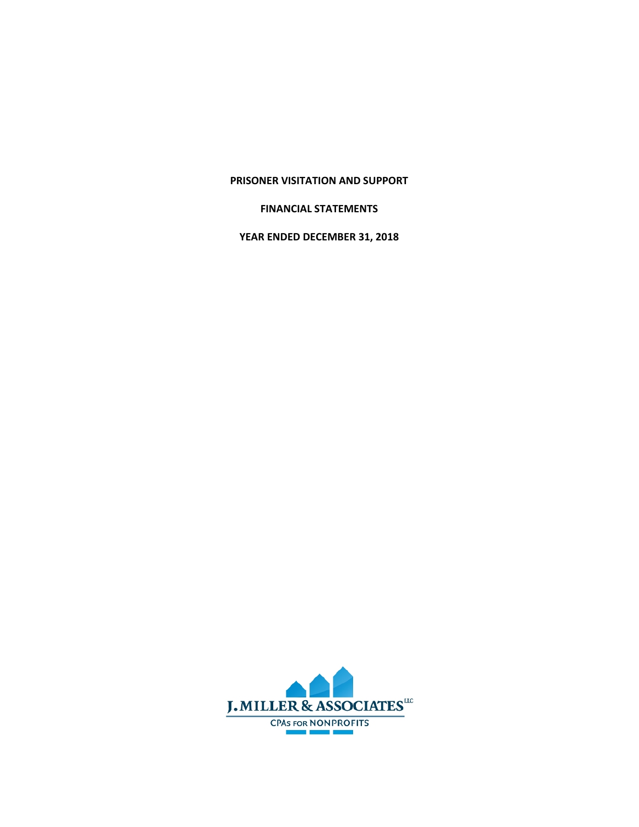## **PRISONER VISITATION AND SUPPORT**

## **FINANCIAL STATEMENTS**

**YEAR ENDED DECEMBER 31, 2018**

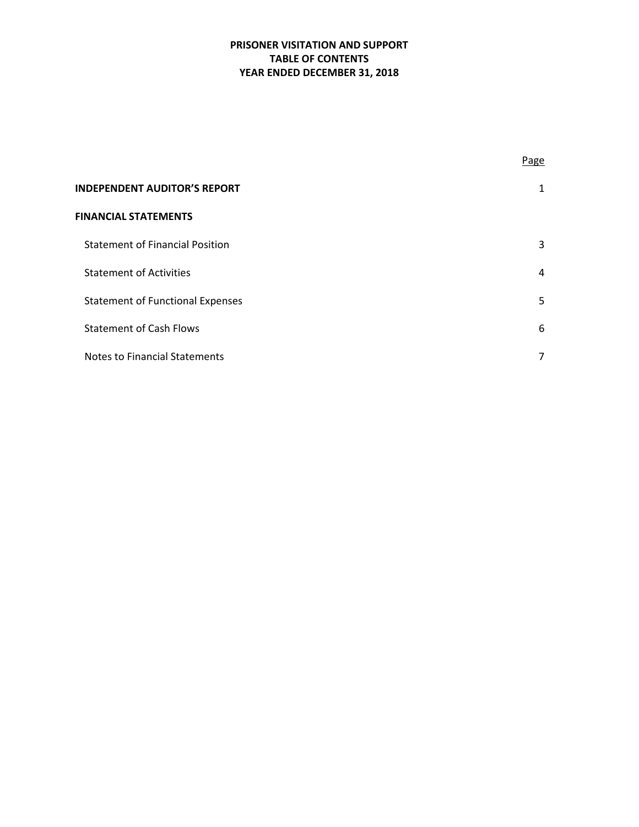# **PRISONER VISITATION AND SUPPORT TABLE OF CONTENTS YEAR ENDED DECEMBER 31, 2018**

|                                         | Page           |
|-----------------------------------------|----------------|
| <b>INDEPENDENT AUDITOR'S REPORT</b>     | 1              |
| <b>FINANCIAL STATEMENTS</b>             |                |
| <b>Statement of Financial Position</b>  | 3              |
| <b>Statement of Activities</b>          | $\overline{4}$ |
| <b>Statement of Functional Expenses</b> | 5              |
| <b>Statement of Cash Flows</b>          | 6              |
| <b>Notes to Financial Statements</b>    | 7              |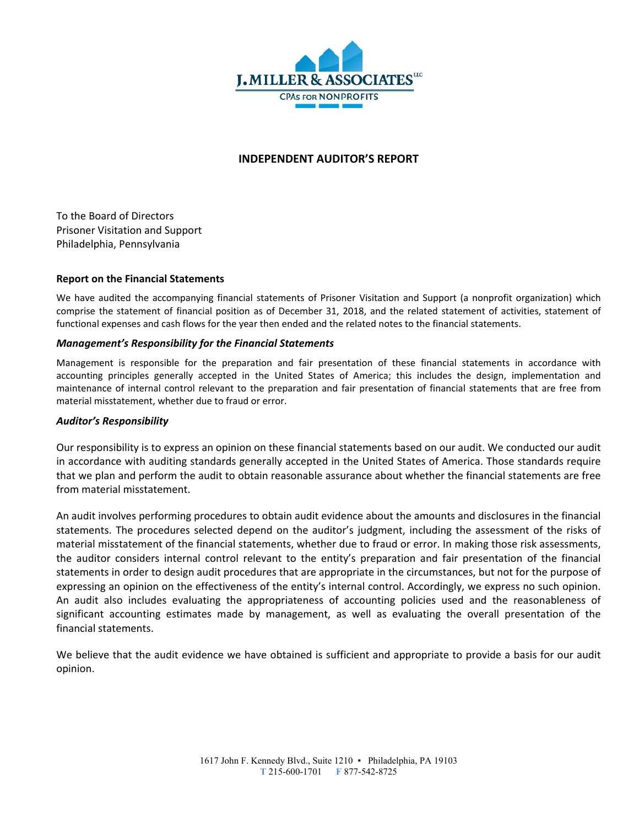

## **INDEPENDENT AUDITOR'S REPORT**

To the Board of Directors Prisoner Visitation and Support Philadelphia, Pennsylvania

## **Report on the Financial Statements**

We have audited the accompanying financial statements of Prisoner Visitation and Support (a nonprofit organization) which comprise the statement of financial position as of December 31, 2018, and the related statement of activities, statement of functional expenses and cash flows for the year then ended and the related notes to the financial statements.

#### *Management's Responsibility for the Financial Statements*

Management is responsible for the preparation and fair presentation of these financial statements in accordance with accounting principles generally accepted in the United States of America; this includes the design, implementation and maintenance of internal control relevant to the preparation and fair presentation of financial statements that are free from material misstatement, whether due to fraud or error.

#### *Auditor's Responsibility*

Our responsibility is to express an opinion on these financial statements based on our audit. We conducted our audit in accordance with auditing standards generally accepted in the United States of America. Those standards require that we plan and perform the audit to obtain reasonable assurance about whether the financial statements are free from material misstatement.

An audit involves performing procedures to obtain audit evidence about the amounts and disclosures in the financial statements. The procedures selected depend on the auditor's judgment, including the assessment of the risks of material misstatement of the financial statements, whether due to fraud or error. In making those risk assessments, the auditor considers internal control relevant to the entity's preparation and fair presentation of the financial statements in order to design audit procedures that are appropriate in the circumstances, but not for the purpose of expressing an opinion on the effectiveness of the entity's internal control. Accordingly, we express no such opinion. An audit also includes evaluating the appropriateness of accounting policies used and the reasonableness of significant accounting estimates made by management, as well as evaluating the overall presentation of the financial statements.

We believe that the audit evidence we have obtained is sufficient and appropriate to provide a basis for our audit opinion.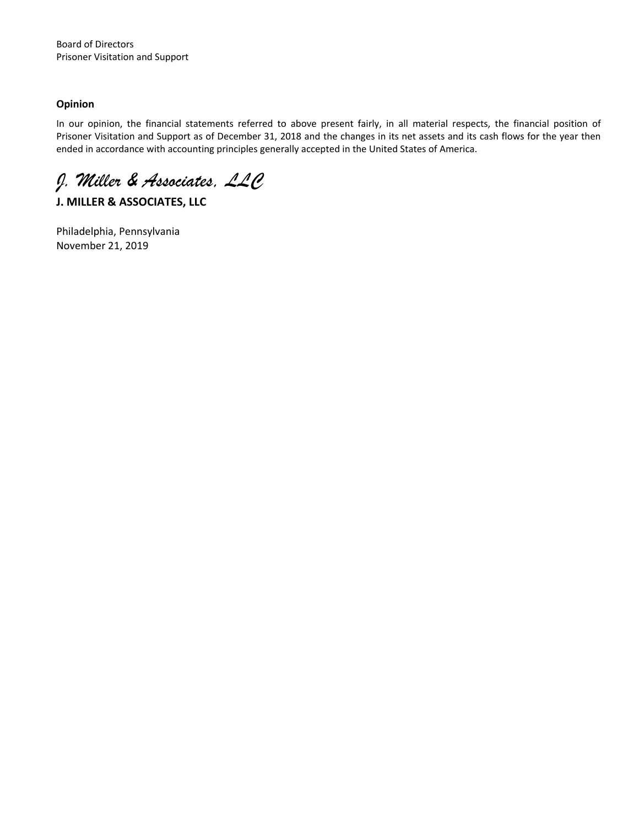## **Opinion**

In our opinion, the financial statements referred to above present fairly, in all material respects, the financial position of Prisoner Visitation and Support as of December 31, 2018 and the changes in its net assets and its cash flows for the year then ended in accordance with accounting principles generally accepted in the United States of America.

*J. Miller & Associates, LLC*

**J. MILLER & ASSOCIATES, LLC**

Philadelphia, Pennsylvania November 21, 2019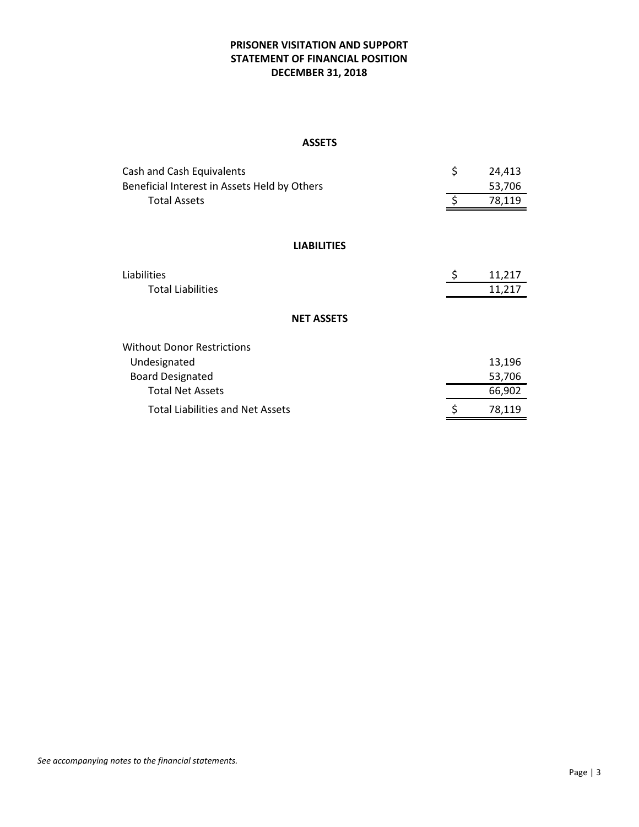## **PRISONER VISITATION AND SUPPORT STATEMENT OF FINANCIAL POSITION DECEMBER 31, 2018**

#### **ASSETS**

| Cash and Cash Equivalents                    | \$<br>24,413      |
|----------------------------------------------|-------------------|
| Beneficial Interest in Assets Held by Others | 53,706            |
| <b>Total Assets</b>                          | $\zeta$<br>78,119 |
|                                              |                   |
| <b>LIABILITIES</b>                           |                   |
| Liabilities                                  | \$<br>11,217      |
| <b>Total Liabilities</b>                     | 11,217            |
| <b>NET ASSETS</b>                            |                   |
| Without Donor Restrictions                   |                   |
| Undesignated                                 | 13,196            |
| <b>Board Designated</b>                      | 53,706            |
| <b>Total Net Assets</b>                      | 66,902            |
| <b>Total Liabilities and Net Assets</b>      | 78,119<br>\$      |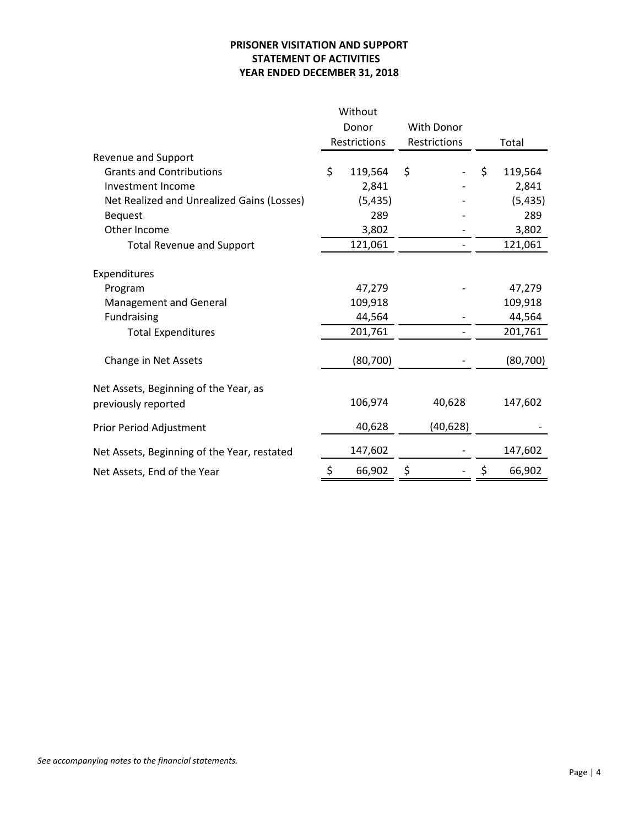## **PRISONER VISITATION AND SUPPORT STATEMENT OF ACTIVITIES YEAR ENDED DECEMBER 31, 2018**

| <b>With Donor</b><br>Donor<br>Restrictions<br>Restrictions<br>Total<br>Revenue and Support<br>\$<br>\$<br>\$<br><b>Grants and Contributions</b><br>119,564<br>119,564<br>2,841<br>2,841<br>Investment Income<br>Net Realized and Unrealized Gains (Losses)<br>(5, 435)<br>(5, 435)<br>289<br>289<br><b>Bequest</b><br>Other Income<br>3,802<br>3,802<br>121,061<br>121,061<br><b>Total Revenue and Support</b><br>Expenditures<br>47,279<br>47,279<br>Program<br>109,918<br>109,918<br>Management and General<br>Fundraising<br>44,564<br>44,564<br>201,761<br>201,761<br><b>Total Expenditures</b><br>(80, 700)<br>(80, 700)<br>Change in Net Assets<br>Net Assets, Beginning of the Year, as<br>106,974<br>40,628<br>147,602<br>previously reported<br>40,628<br>(40, 628)<br>Prior Period Adjustment<br>147,602<br>147,602<br>Net Assets, Beginning of the Year, restated<br>66,902<br>66,902<br>Net Assets, End of the Year |  | Without |  |  |  |
|---------------------------------------------------------------------------------------------------------------------------------------------------------------------------------------------------------------------------------------------------------------------------------------------------------------------------------------------------------------------------------------------------------------------------------------------------------------------------------------------------------------------------------------------------------------------------------------------------------------------------------------------------------------------------------------------------------------------------------------------------------------------------------------------------------------------------------------------------------------------------------------------------------------------------------|--|---------|--|--|--|
|                                                                                                                                                                                                                                                                                                                                                                                                                                                                                                                                                                                                                                                                                                                                                                                                                                                                                                                                 |  |         |  |  |  |
|                                                                                                                                                                                                                                                                                                                                                                                                                                                                                                                                                                                                                                                                                                                                                                                                                                                                                                                                 |  |         |  |  |  |
|                                                                                                                                                                                                                                                                                                                                                                                                                                                                                                                                                                                                                                                                                                                                                                                                                                                                                                                                 |  |         |  |  |  |
|                                                                                                                                                                                                                                                                                                                                                                                                                                                                                                                                                                                                                                                                                                                                                                                                                                                                                                                                 |  |         |  |  |  |
|                                                                                                                                                                                                                                                                                                                                                                                                                                                                                                                                                                                                                                                                                                                                                                                                                                                                                                                                 |  |         |  |  |  |
|                                                                                                                                                                                                                                                                                                                                                                                                                                                                                                                                                                                                                                                                                                                                                                                                                                                                                                                                 |  |         |  |  |  |
|                                                                                                                                                                                                                                                                                                                                                                                                                                                                                                                                                                                                                                                                                                                                                                                                                                                                                                                                 |  |         |  |  |  |
|                                                                                                                                                                                                                                                                                                                                                                                                                                                                                                                                                                                                                                                                                                                                                                                                                                                                                                                                 |  |         |  |  |  |
|                                                                                                                                                                                                                                                                                                                                                                                                                                                                                                                                                                                                                                                                                                                                                                                                                                                                                                                                 |  |         |  |  |  |
|                                                                                                                                                                                                                                                                                                                                                                                                                                                                                                                                                                                                                                                                                                                                                                                                                                                                                                                                 |  |         |  |  |  |
|                                                                                                                                                                                                                                                                                                                                                                                                                                                                                                                                                                                                                                                                                                                                                                                                                                                                                                                                 |  |         |  |  |  |
|                                                                                                                                                                                                                                                                                                                                                                                                                                                                                                                                                                                                                                                                                                                                                                                                                                                                                                                                 |  |         |  |  |  |
|                                                                                                                                                                                                                                                                                                                                                                                                                                                                                                                                                                                                                                                                                                                                                                                                                                                                                                                                 |  |         |  |  |  |
|                                                                                                                                                                                                                                                                                                                                                                                                                                                                                                                                                                                                                                                                                                                                                                                                                                                                                                                                 |  |         |  |  |  |
|                                                                                                                                                                                                                                                                                                                                                                                                                                                                                                                                                                                                                                                                                                                                                                                                                                                                                                                                 |  |         |  |  |  |
|                                                                                                                                                                                                                                                                                                                                                                                                                                                                                                                                                                                                                                                                                                                                                                                                                                                                                                                                 |  |         |  |  |  |
|                                                                                                                                                                                                                                                                                                                                                                                                                                                                                                                                                                                                                                                                                                                                                                                                                                                                                                                                 |  |         |  |  |  |
|                                                                                                                                                                                                                                                                                                                                                                                                                                                                                                                                                                                                                                                                                                                                                                                                                                                                                                                                 |  |         |  |  |  |
|                                                                                                                                                                                                                                                                                                                                                                                                                                                                                                                                                                                                                                                                                                                                                                                                                                                                                                                                 |  |         |  |  |  |
|                                                                                                                                                                                                                                                                                                                                                                                                                                                                                                                                                                                                                                                                                                                                                                                                                                                                                                                                 |  |         |  |  |  |
|                                                                                                                                                                                                                                                                                                                                                                                                                                                                                                                                                                                                                                                                                                                                                                                                                                                                                                                                 |  |         |  |  |  |
|                                                                                                                                                                                                                                                                                                                                                                                                                                                                                                                                                                                                                                                                                                                                                                                                                                                                                                                                 |  |         |  |  |  |
|                                                                                                                                                                                                                                                                                                                                                                                                                                                                                                                                                                                                                                                                                                                                                                                                                                                                                                                                 |  |         |  |  |  |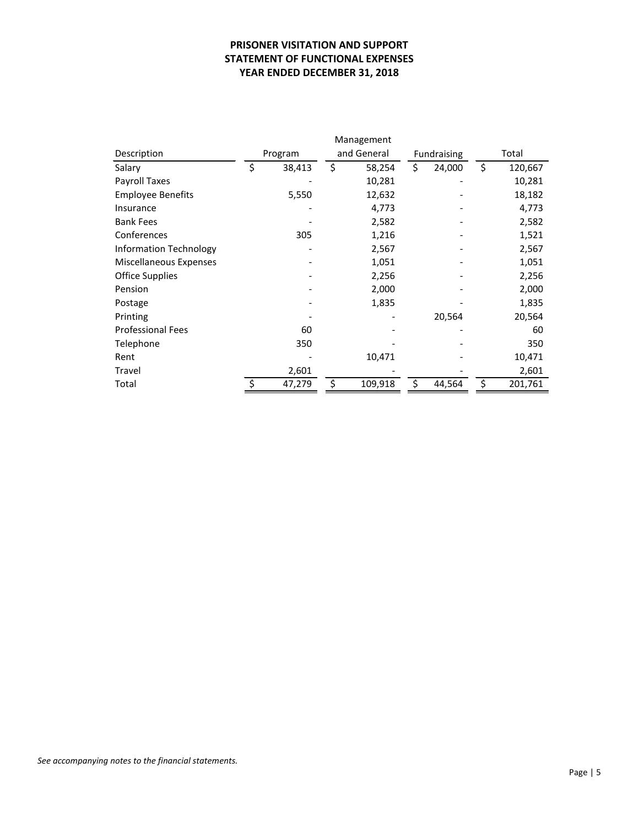## **PRISONER VISITATION AND SUPPORT STATEMENT OF FUNCTIONAL EXPENSES YEAR ENDED DECEMBER 31, 2018**

|                          | Management |         |    |                            |    |        |    |         |
|--------------------------|------------|---------|----|----------------------------|----|--------|----|---------|
| Description              |            | Program |    | and General<br>Fundraising |    |        |    | Total   |
| Salary                   | \$         | 38,413  | \$ | 58,254                     | \$ | 24,000 | \$ | 120,667 |
| Payroll Taxes            |            |         |    | 10,281                     |    |        |    | 10,281  |
| <b>Employee Benefits</b> |            | 5,550   |    | 12,632                     |    |        |    | 18,182  |
| Insurance                |            |         |    | 4,773                      |    |        |    | 4,773   |
| <b>Bank Fees</b>         |            |         |    | 2,582                      |    |        |    | 2,582   |
| Conferences              |            | 305     |    | 1,216                      |    |        |    | 1,521   |
| Information Technology   |            |         |    | 2,567                      |    |        |    | 2,567   |
| Miscellaneous Expenses   |            |         |    | 1,051                      |    |        |    | 1,051   |
| <b>Office Supplies</b>   |            |         |    | 2,256                      |    |        |    | 2,256   |
| Pension                  |            |         |    | 2,000                      |    |        |    | 2,000   |
| Postage                  |            |         |    | 1,835                      |    |        |    | 1,835   |
| Printing                 |            |         |    |                            |    | 20,564 |    | 20,564  |
| <b>Professional Fees</b> |            | 60      |    |                            |    |        |    | 60      |
| Telephone                |            | 350     |    |                            |    |        |    | 350     |
| Rent                     |            |         |    | 10,471                     |    |        |    | 10,471  |
| Travel                   |            | 2,601   |    |                            |    |        |    | 2,601   |
| Total                    |            | 47,279  | S  | 109,918                    | \$ | 44,564 | \$ | 201,761 |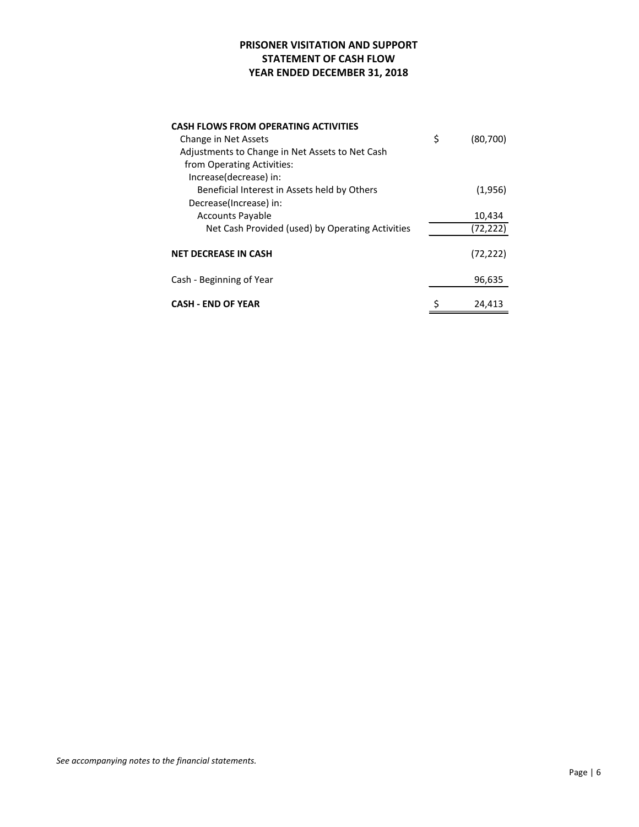## **PRISONER VISITATION AND SUPPORT STATEMENT OF CASH FLOW YEAR ENDED DECEMBER 31, 2018**

| <b>CASH FLOWS FROM OPERATING ACTIVITIES</b>      |                |
|--------------------------------------------------|----------------|
| Change in Net Assets                             | \$<br>(80,700) |
| Adjustments to Change in Net Assets to Net Cash  |                |
| from Operating Activities:                       |                |
| Increase(decrease) in:                           |                |
| Beneficial Interest in Assets held by Others     | (1,956)        |
| Decrease(Increase) in:                           |                |
| <b>Accounts Payable</b>                          | 10,434         |
| Net Cash Provided (used) by Operating Activities | (72,222)       |
|                                                  |                |
| <b>NET DECREASE IN CASH</b>                      | (72, 222)      |
|                                                  |                |
| Cash - Beginning of Year                         | 96,635         |
|                                                  |                |
| <b>CASH - END OF YEAR</b>                        | 24,413         |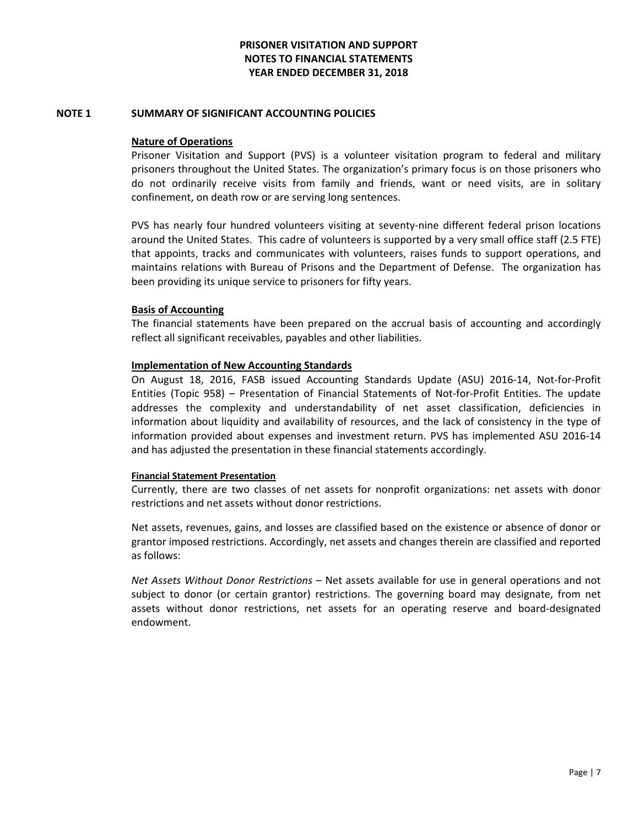### **NOTE 1 SUMMARY OF SIGNIFICANT ACCOUNTING POLICIES**

## **Nature of Operations**

Prisoner Visitation and Support (PVS) is a volunteer visitation program to federal and military prisoners throughout the United States. The organization's primary focus is on those prisoners who do not ordinarily receive visits from family and friends, want or need visits, are in solitary confinement, on death row or are serving long sentences.

PVS has nearly four hundred volunteers visiting at seventy-nine different federal prison locations around the United States. This cadre of volunteers is supported by a very small office staff (2.5 FTE) that appoints, tracks and communicates with volunteers, raises funds to support operations, and maintains relations with Bureau of Prisons and the Department of Defense. The organization has been providing its unique service to prisoners for fifty years.

## **Basis of Accounting**

The financial statements have been prepared on the accrual basis of accounting and accordingly reflect all significant receivables, payables and other liabilities.

## **Implementation of New Accounting Standards**

On August 18, 2016, FASB issued Accounting Standards Update (ASU) 2016-14, Not-for-Profit Entities (Topic 958) – Presentation of Financial Statements of Not-for-Profit Entities. The update addresses the complexity and understandability of net asset classification, deficiencies in information about liquidity and availability of resources, and the lack of consistency in the type of information provided about expenses and investment return. PVS has implemented ASU 2016-14 and has adjusted the presentation in these financial statements accordingly.

#### **Financial Statement Presentation**

Currently, there are two classes of net assets for nonprofit organizations: net assets with donor restrictions and net assets without donor restrictions.

Net assets, revenues, gains, and losses are classified based on the existence or absence of donor or grantor imposed restrictions. Accordingly, net assets and changes therein are classified and reported as follows:

*Net Assets Without Donor Restrictions* – Net assets available for use in general operations and not subject to donor (or certain grantor) restrictions. The governing board may designate, from net assets without donor restrictions, net assets for an operating reserve and board-designated endowment.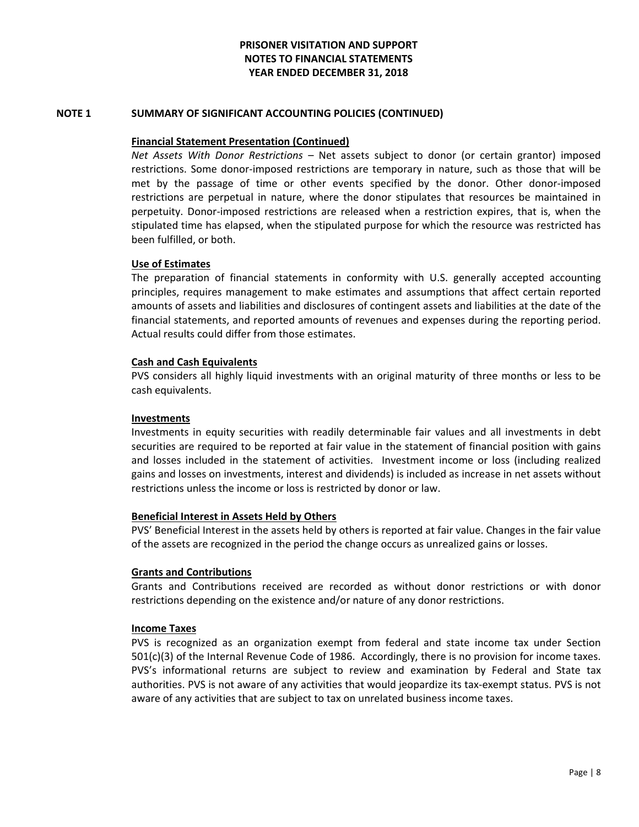## **NOTE 1 SUMMARY OF SIGNIFICANT ACCOUNTING POLICIES (CONTINUED)**

### **Financial Statement Presentation (Continued)**

*Net Assets With Donor Restrictions* – Net assets subject to donor (or certain grantor) imposed restrictions. Some donor-imposed restrictions are temporary in nature, such as those that will be met by the passage of time or other events specified by the donor. Other donor-imposed restrictions are perpetual in nature, where the donor stipulates that resources be maintained in perpetuity. Donor-imposed restrictions are released when a restriction expires, that is, when the stipulated time has elapsed, when the stipulated purpose for which the resource was restricted has been fulfilled, or both.

## **Use of Estimates**

The preparation of financial statements in conformity with U.S. generally accepted accounting principles, requires management to make estimates and assumptions that affect certain reported amounts of assets and liabilities and disclosures of contingent assets and liabilities at the date of the financial statements, and reported amounts of revenues and expenses during the reporting period. Actual results could differ from those estimates.

## **Cash and Cash Equivalents**

PVS considers all highly liquid investments with an original maturity of three months or less to be cash equivalents.

### **Investments**

Investments in equity securities with readily determinable fair values and all investments in debt securities are required to be reported at fair value in the statement of financial position with gains and losses included in the statement of activities. Investment income or loss (including realized gains and losses on investments, interest and dividends) is included as increase in net assets without restrictions unless the income or loss is restricted by donor or law.

#### **Beneficial Interest in Assets Held by Others**

PVS' Beneficial Interest in the assets held by others is reported at fair value. Changes in the fair value of the assets are recognized in the period the change occurs as unrealized gains or losses.

#### **Grants and Contributions**

Grants and Contributions received are recorded as without donor restrictions or with donor restrictions depending on the existence and/or nature of any donor restrictions.

#### **Income Taxes**

PVS is recognized as an organization exempt from federal and state income tax under Section 501(c)(3) of the Internal Revenue Code of 1986. Accordingly, there is no provision for income taxes. PVS's informational returns are subject to review and examination by Federal and State tax authorities. PVS is not aware of any activities that would jeopardize its tax-exempt status. PVS is not aware of any activities that are subject to tax on unrelated business income taxes.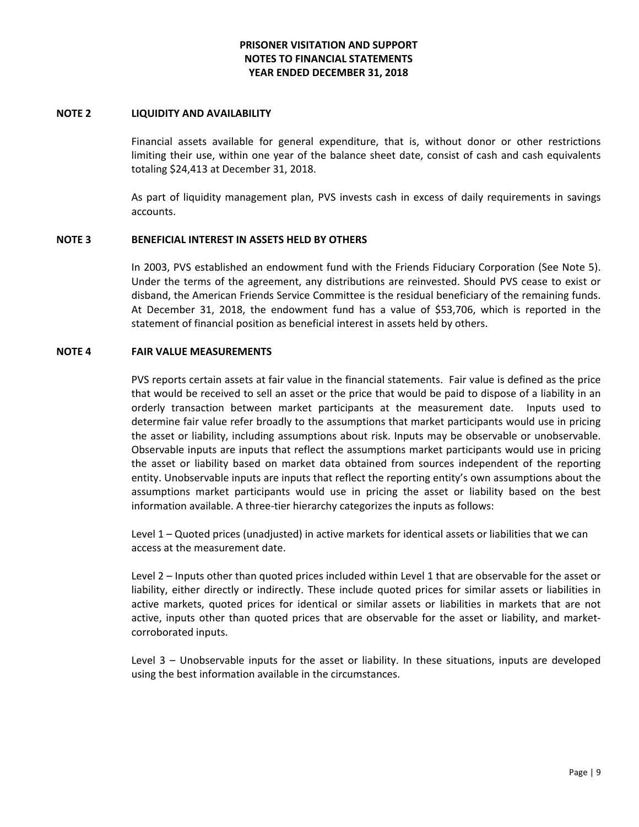#### **NOTE 2 LIQUIDITY AND AVAILABILITY**

Financial assets available for general expenditure, that is, without donor or other restrictions limiting their use, within one year of the balance sheet date, consist of cash and cash equivalents totaling \$24,413 at December 31, 2018.

As part of liquidity management plan, PVS invests cash in excess of daily requirements in savings accounts.

## **NOTE 3 BENEFICIAL INTEREST IN ASSETS HELD BY OTHERS**

In 2003, PVS established an endowment fund with the Friends Fiduciary Corporation (See Note 5). Under the terms of the agreement, any distributions are reinvested. Should PVS cease to exist or disband, the American Friends Service Committee is the residual beneficiary of the remaining funds. At December 31, 2018, the endowment fund has a value of \$53,706, which is reported in the statement of financial position as beneficial interest in assets held by others.

## **NOTE 4 FAIR VALUE MEASUREMENTS**

PVS reports certain assets at fair value in the financial statements. Fair value is defined as the price that would be received to sell an asset or the price that would be paid to dispose of a liability in an orderly transaction between market participants at the measurement date. Inputs used to determine fair value refer broadly to the assumptions that market participants would use in pricing the asset or liability, including assumptions about risk. Inputs may be observable or unobservable. Observable inputs are inputs that reflect the assumptions market participants would use in pricing the asset or liability based on market data obtained from sources independent of the reporting entity. Unobservable inputs are inputs that reflect the reporting entity's own assumptions about the assumptions market participants would use in pricing the asset or liability based on the best information available. A three-tier hierarchy categorizes the inputs as follows:

Level 1 – Quoted prices (unadjusted) in active markets for identical assets or liabilities that we can access at the measurement date.

Level 2 – Inputs other than quoted prices included within Level 1 that are observable for the asset or liability, either directly or indirectly. These include quoted prices for similar assets or liabilities in active markets, quoted prices for identical or similar assets or liabilities in markets that are not active, inputs other than quoted prices that are observable for the asset or liability, and marketcorroborated inputs.

Level 3 – Unobservable inputs for the asset or liability. In these situations, inputs are developed using the best information available in the circumstances.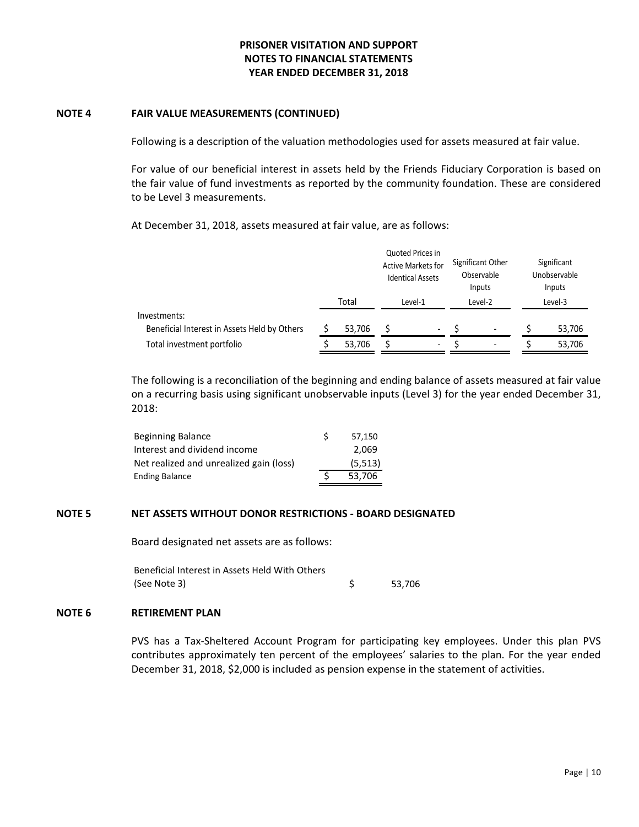### **NOTE 4 FAIR VALUE MEASUREMENTS (CONTINUED)**

Following is a description of the valuation methodologies used for assets measured at fair value.

For value of our beneficial interest in assets held by the Friends Fiduciary Corporation is based on the fair value of fund investments as reported by the community foundation. These are considered to be Level 3 measurements.

At December 31, 2018, assets measured at fair value, are as follows:

|                                              |  |        |         | Quoted Prices in<br><b>Active Markets for</b><br><b>Identical Assets</b> | Significant Other<br>Observable<br>Inputs<br>Level-2 |                          | Significant<br>Unobservable<br>Inputs<br>Level-3 |        |
|----------------------------------------------|--|--------|---------|--------------------------------------------------------------------------|------------------------------------------------------|--------------------------|--------------------------------------------------|--------|
|                                              |  | Total  | Level-1 |                                                                          |                                                      |                          |                                                  |        |
| Investments:                                 |  |        |         |                                                                          |                                                      |                          |                                                  |        |
| Beneficial Interest in Assets Held by Others |  | 53,706 |         | $\overline{\phantom{0}}$                                                 |                                                      |                          |                                                  | 53,706 |
| Total investment portfolio                   |  | 53,706 |         | $\overline{\phantom{a}}$                                                 |                                                      | $\overline{\phantom{a}}$ |                                                  | 53,706 |

The following is a reconciliation of the beginning and ending balance of assets measured at fair value on a recurring basis using significant unobservable inputs (Level 3) for the year ended December 31, 2018:

| Beginning Balance                       | 57.150   |
|-----------------------------------------|----------|
| Interest and dividend income            | 2.069    |
| Net realized and unrealized gain (loss) | (5, 513) |
| <b>Ending Balance</b>                   | 53.706   |

## **NOTE 5 NET ASSETS WITHOUT DONOR RESTRICTIONS - BOARD DESIGNATED**

Board designated net assets are as follows:

| Beneficial Interest in Assets Held With Others |        |
|------------------------------------------------|--------|
| (See Note 3)                                   | 53.706 |

#### **NOTE 6 RETIREMENT PLAN**

PVS has a Tax-Sheltered Account Program for participating key employees. Under this plan PVS contributes approximately ten percent of the employees' salaries to the plan. For the year ended December 31, 2018, \$2,000 is included as pension expense in the statement of activities.